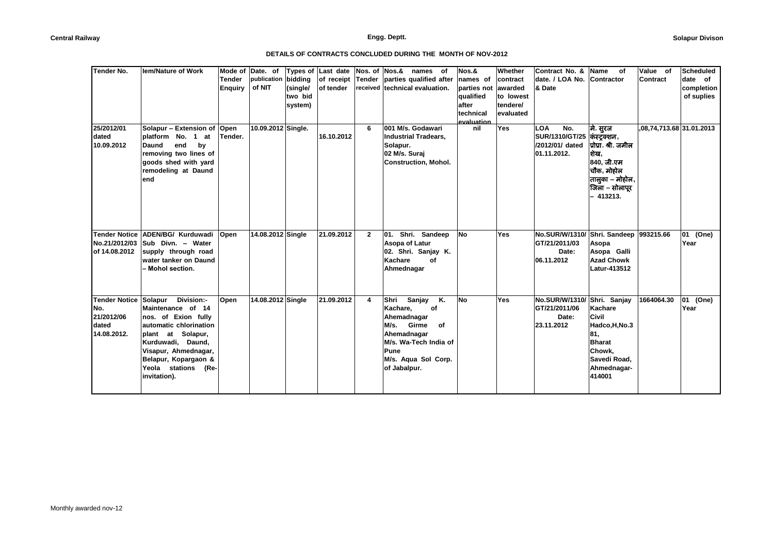| <b>Tender No.</b>    | <b>Iem/Nature of Work</b>   |                | Mode of Date. of   | Types of | Last date  | Nos. of Nos.&  | names of                       | Nos.&       | Whether   | Contract No. &                         | Name<br>οf           | Value of                 | <b>Scheduled</b> |
|----------------------|-----------------------------|----------------|--------------------|----------|------------|----------------|--------------------------------|-------------|-----------|----------------------------------------|----------------------|--------------------------|------------------|
|                      |                             | <b>Tender</b>  | publication        | bidding  | of receipt | Tender         | parties qualified after        | names of    | contract  | date. / LOA No.                        | Contractor           | Contract                 | date of          |
|                      |                             | <b>Enquiry</b> | of NIT             | (single/ | of tender  |                | received technical evaluation. | parties not | awarded   | & Date                                 |                      |                          | completion       |
|                      |                             |                |                    | two bid  |            |                |                                | qualified   | to lowest |                                        |                      |                          | of suplies       |
|                      |                             |                |                    | system)  |            |                |                                | after       | tendere/  |                                        |                      |                          |                  |
|                      |                             |                |                    |          |            |                |                                | technical   | evaluated |                                        |                      |                          |                  |
|                      |                             |                |                    |          |            |                |                                | evaluation  |           |                                        |                      |                          |                  |
| 25/2012/01           | Solapur - Extension of Open |                | 10.09.2012 Single. |          |            | 6              | 001 M/s. Godawari              | nil         | Yes       | <b>LOA</b><br>No.                      | मे. सुरज             | ,08,74,713.68 31.01.2013 |                  |
| dated                | platform No. 1 at           | Tender.        |                    |          | 16.10.2012 |                | <b>Industrial Tradears.</b>    |             |           | <b>SUR/1310/GT/25</b>                  | कंस्ट्रक्शन ,        |                          |                  |
| 10.09.2012           | end<br>by<br>Daund          |                |                    |          |            |                | Solapur.                       |             |           | /2012/01/ dated                        | प्रोप्रा. श्री. जमील |                          |                  |
|                      | removing two lines of       |                |                    |          |            |                | 02 M/s. Suraj                  |             |           | 01.11.2012.                            | शेख.                 |                          |                  |
|                      | goods shed with yard        |                |                    |          |            |                | <b>Construction, Mohol.</b>    |             |           |                                        | 840, जी.एम           |                          |                  |
|                      | remodeling at Daund         |                |                    |          |            |                |                                |             |           |                                        | चौक, मोहोल           |                          |                  |
|                      | end                         |                |                    |          |            |                |                                |             |           |                                        | तालुका – मोहोल,      |                          |                  |
|                      |                             |                |                    |          |            |                |                                |             |           |                                        | जिला – सोलापूर       |                          |                  |
|                      |                             |                |                    |          |            |                |                                |             |           |                                        | $-413213.$           |                          |                  |
|                      |                             |                |                    |          |            |                |                                |             |           |                                        |                      |                          |                  |
|                      |                             |                |                    |          |            |                |                                |             |           |                                        |                      |                          |                  |
| <b>Tender Notice</b> | ADEN/BG/ Kurduwadi          | Open           | 14.08.2012 Single  |          | 21.09.2012 | $\overline{2}$ | Shri. Sandeep<br>01.           | No          | Yes       | No.SUR/W/1310/ Shri. Sandeep 993215.66 |                      |                          | 01<br>(One)      |
| No.21/2012/03        | Sub Divn. - Water           |                |                    |          |            |                | Asopa of Latur                 |             |           | GT/21/2011/03                          | Asopa                |                          | Year             |
| of 14.08.2012        | supply through road         |                |                    |          |            |                | 02. Shri. Sanjay K.            |             |           | Date:                                  | Asopa Galli          |                          |                  |
|                      | water tanker on Daund       |                |                    |          |            |                | Kachare<br>of                  |             |           | 06.11.2012                             | <b>Azad Chowk</b>    |                          |                  |
|                      | – Mohol section.            |                |                    |          |            |                | Ahmednagar                     |             |           |                                        | Latur-413512         |                          |                  |
|                      |                             |                |                    |          |            |                |                                |             |           |                                        |                      |                          |                  |
|                      |                             |                |                    |          |            |                |                                |             |           |                                        |                      |                          |                  |
| <b>Tender Notice</b> | Division:-<br>Solapur       | Open           | 14.08.2012 Single  |          | 21.09.2012 | 4              | Shri<br>Sanjay<br>Κ.           | <b>No</b>   | Yes       | No.SUR/W/1310/ Shri. Sanjay            |                      | 1664064.30               | 01<br>(One)      |
| No.                  | Maintenance of 14           |                |                    |          |            |                | Kachare,<br>of                 |             |           | GT/21/2011/06                          | Kachare              |                          | Year             |
| 21/2012/06           | nos. of Exion fully         |                |                    |          |            |                | Ahemadnagar                    |             |           | Date:                                  | Civil                |                          |                  |
| dated                | automatic chlorination      |                |                    |          |            |                | M/s. Girme<br>of               |             |           | 23.11.2012                             | Hadco, H, No.3       |                          |                  |
| 14.08.2012.          | plant at Solapur,           |                |                    |          |            |                | Ahemadnagar                    |             |           |                                        | 81,                  |                          |                  |
|                      | Kurduwadi, Daund,           |                |                    |          |            |                | M/s. Wa-Tech India of          |             |           |                                        | <b>Bharat</b>        |                          |                  |
|                      | Visapur, Ahmednagar,        |                |                    |          |            |                | Pune                           |             |           |                                        | Chowk,               |                          |                  |
|                      | Belapur, Kopargaon &        |                |                    |          |            |                | M/s. Aqua Sol Corp.            |             |           |                                        | Savedi Road,         |                          |                  |
|                      | Yeola stations (Re-         |                |                    |          |            |                | of Jabalpur.                   |             |           |                                        | Ahmednagar-          |                          |                  |
|                      | invitation).                |                |                    |          |            |                |                                |             |           |                                        | 414001               |                          |                  |
|                      |                             |                |                    |          |            |                |                                |             |           |                                        |                      |                          |                  |
|                      |                             |                |                    |          |            |                |                                |             |           |                                        |                      |                          |                  |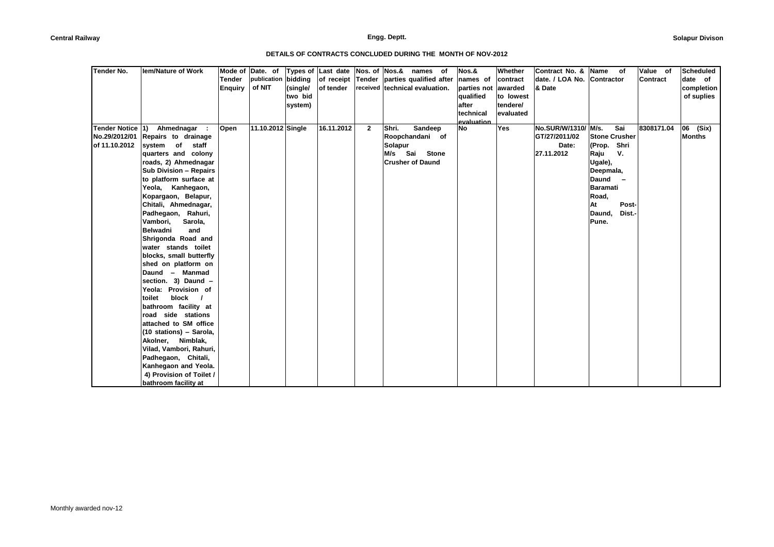| <b>Tender No.</b> | lem/Nature of Work                                      | Mode of<br><b>Tender</b> | Date. of<br>publication | bidding             | Types of Last date<br>of receipt | Nos. of Nos.&  | names<br>of<br>Tender parties qualified after | Nos.&<br>names of        | Whether<br>contract  | Contract No. &<br>date. / LOA No. Contractor | Name<br>of           | Value of<br>Contract | Scheduled<br>date of     |
|-------------------|---------------------------------------------------------|--------------------------|-------------------------|---------------------|----------------------------------|----------------|-----------------------------------------------|--------------------------|----------------------|----------------------------------------------|----------------------|----------------------|--------------------------|
|                   |                                                         | <b>Enquiry</b>           | of NIT                  | (single/<br>two bid | of tender                        |                | received technical evaluation.                | parties not<br>qualified | awarded<br>to lowest | & Date                                       |                      |                      | completion<br>of suplies |
|                   |                                                         |                          |                         | system)             |                                  |                |                                               | lafter                   | tendere/             |                                              |                      |                      |                          |
|                   |                                                         |                          |                         |                     |                                  |                |                                               | technical                | evaluated            |                                              |                      |                      |                          |
|                   |                                                         |                          |                         |                     |                                  |                |                                               | evaluation               |                      |                                              |                      |                      |                          |
| Tender Notice 1)  | Ahmednagar :                                            | Open                     | 11.10.2012 Single       |                     | 16.11.2012                       | $\overline{2}$ | Shri.<br>Sandeep                              | No                       | Yes                  | No.SUR/W/1310/ M/s.                          | Sai                  | 8308171.04           | 06 (Six)                 |
| No.29/2012/01     | Repairs to drainage                                     |                          |                         |                     |                                  |                | Roopchandani of                               |                          |                      | GT/27/2011/02                                | <b>Stone Crusher</b> |                      | Months                   |
| of 11.10.2012     | system of<br>staff                                      |                          |                         |                     |                                  |                | Solapur                                       |                          |                      | Date:                                        | (Prop. Shri          |                      |                          |
|                   | quarters and colony                                     |                          |                         |                     |                                  |                | M/s Sai<br><b>Stone</b>                       |                          |                      | 27.11.2012                                   | V.<br>Raju           |                      |                          |
|                   | roads, 2) Ahmednagar                                    |                          |                         |                     |                                  |                | <b>Crusher of Daund</b>                       |                          |                      |                                              | Ugale),              |                      |                          |
|                   | <b>Sub Division - Repairs</b><br>to platform surface at |                          |                         |                     |                                  |                |                                               |                          |                      |                                              | Deepmala,<br>Daund   |                      |                          |
|                   | Yeola, Kanhegaon,                                       |                          |                         |                     |                                  |                |                                               |                          |                      |                                              | <b>Baramati</b>      |                      |                          |
|                   | Kopargaon, Belapur,                                     |                          |                         |                     |                                  |                |                                               |                          |                      |                                              | Road,                |                      |                          |
|                   | Chitali, Ahmednagar,                                    |                          |                         |                     |                                  |                |                                               |                          |                      |                                              | At<br>Post-          |                      |                          |
|                   | Padhegaon, Rahuri,                                      |                          |                         |                     |                                  |                |                                               |                          |                      |                                              | Daund,<br>Dist.-     |                      |                          |
|                   | Vambori,<br>Sarola,                                     |                          |                         |                     |                                  |                |                                               |                          |                      |                                              | Pune.                |                      |                          |
|                   | <b>Belwadni</b><br>and                                  |                          |                         |                     |                                  |                |                                               |                          |                      |                                              |                      |                      |                          |
|                   | Shrigonda Road and                                      |                          |                         |                     |                                  |                |                                               |                          |                      |                                              |                      |                      |                          |
|                   | water stands toilet                                     |                          |                         |                     |                                  |                |                                               |                          |                      |                                              |                      |                      |                          |
|                   | blocks, small butterfly                                 |                          |                         |                     |                                  |                |                                               |                          |                      |                                              |                      |                      |                          |
|                   | shed on platform on                                     |                          |                         |                     |                                  |                |                                               |                          |                      |                                              |                      |                      |                          |
|                   | Daund - Manmad                                          |                          |                         |                     |                                  |                |                                               |                          |                      |                                              |                      |                      |                          |
|                   | section. 3) Daund -                                     |                          |                         |                     |                                  |                |                                               |                          |                      |                                              |                      |                      |                          |
|                   | Yeola: Provision of                                     |                          |                         |                     |                                  |                |                                               |                          |                      |                                              |                      |                      |                          |
|                   | block<br>toilet                                         |                          |                         |                     |                                  |                |                                               |                          |                      |                                              |                      |                      |                          |
|                   | bathroom facility at                                    |                          |                         |                     |                                  |                |                                               |                          |                      |                                              |                      |                      |                          |
|                   | road side stations                                      |                          |                         |                     |                                  |                |                                               |                          |                      |                                              |                      |                      |                          |
|                   | attached to SM office                                   |                          |                         |                     |                                  |                |                                               |                          |                      |                                              |                      |                      |                          |
|                   | (10 stations) - Sarola,                                 |                          |                         |                     |                                  |                |                                               |                          |                      |                                              |                      |                      |                          |
|                   | Akolner, Nimblak,<br>Vilad, Vambori, Rahuri,            |                          |                         |                     |                                  |                |                                               |                          |                      |                                              |                      |                      |                          |
|                   | Padhegaon, Chitali,                                     |                          |                         |                     |                                  |                |                                               |                          |                      |                                              |                      |                      |                          |
|                   | Kanhegaon and Yeola.                                    |                          |                         |                     |                                  |                |                                               |                          |                      |                                              |                      |                      |                          |
|                   | 4) Provision of Toilet /                                |                          |                         |                     |                                  |                |                                               |                          |                      |                                              |                      |                      |                          |
|                   | bathroom facility at                                    |                          |                         |                     |                                  |                |                                               |                          |                      |                                              |                      |                      |                          |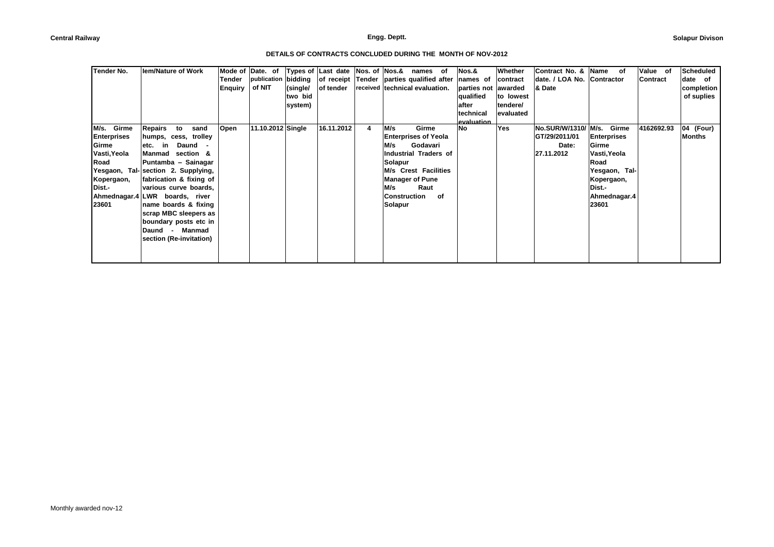| Tender No.                                                                                            | <b>Iem/Nature of Work</b>                                                                                                                                                                                                                                                                                                                                        | Tender<br><b>Enquiry</b> | Mode of Date. of<br>publication bidding<br>of NIT | (single/<br>two bid<br>system) | Types of Last date<br>of receipt Tender parties qualified after names of<br>of tender | Nos. of Nos.& |                                                         | names of<br>received technical evaluation.                                                                                          |    | Nos.&<br>parties not<br>qualified<br>after<br>technical<br>evaluation | Whether<br>contract<br>awarded<br>to lowest<br>tendere/<br>evaluated | Contract No. &<br>date. / LOA No. Contractor<br>& Date      | Name<br>οf                                                                                                                     | Value of<br>Contract | <b>Scheduled</b><br>date of<br>completion<br>of suplies |  |
|-------------------------------------------------------------------------------------------------------|------------------------------------------------------------------------------------------------------------------------------------------------------------------------------------------------------------------------------------------------------------------------------------------------------------------------------------------------------------------|--------------------------|---------------------------------------------------|--------------------------------|---------------------------------------------------------------------------------------|---------------|---------------------------------------------------------|-------------------------------------------------------------------------------------------------------------------------------------|----|-----------------------------------------------------------------------|----------------------------------------------------------------------|-------------------------------------------------------------|--------------------------------------------------------------------------------------------------------------------------------|----------------------|---------------------------------------------------------|--|
| Girme<br>M/s.<br><b>Enterprises</b><br>Girme<br>Vasti, Yeola<br>Road<br>Kopergaon,<br>Dist.-<br>23601 | Repairs<br>to<br>sand<br>humps, cess, trolley<br>etc. in<br>Daund<br>Manmad section &<br>Puntamba - Sainagar<br>Yesgaon, Tal- section 2. Supplying,<br>fabrication & fixing of<br>various curve boards,<br>Ahmednagar.4 LWR boards, river<br>name boards & fixing<br>scrap MBC sleepers as<br>boundary posts etc in<br>Daund - Manmad<br>section (Re-invitation) | Open                     | 11.10.2012 Single                                 |                                | 16.11.2012                                                                            | 4             | M/s<br>M/s<br>Solapur<br>M/s<br>Construction<br>Solapur | Girme<br><b>Enterprises of Yeola</b><br>Godavari<br>Industrial Traders of<br>M/s Crest Facilities<br><b>Manager of Pune</b><br>Raut | of | No.                                                                   | Yes                                                                  | No.SUR/W/1310/ M/s.<br>GT/29/2011/01<br>Date:<br>27.11.2012 | Girme<br><b>Enterprises</b><br>Girme<br>Vasti, Yeola<br>Road<br>Yesgaon, Tal-<br>Kopergaon,<br>Dist.-<br>Ahmednagar.4<br>23601 | 4162692.93           | 04 (Four)<br>Months                                     |  |